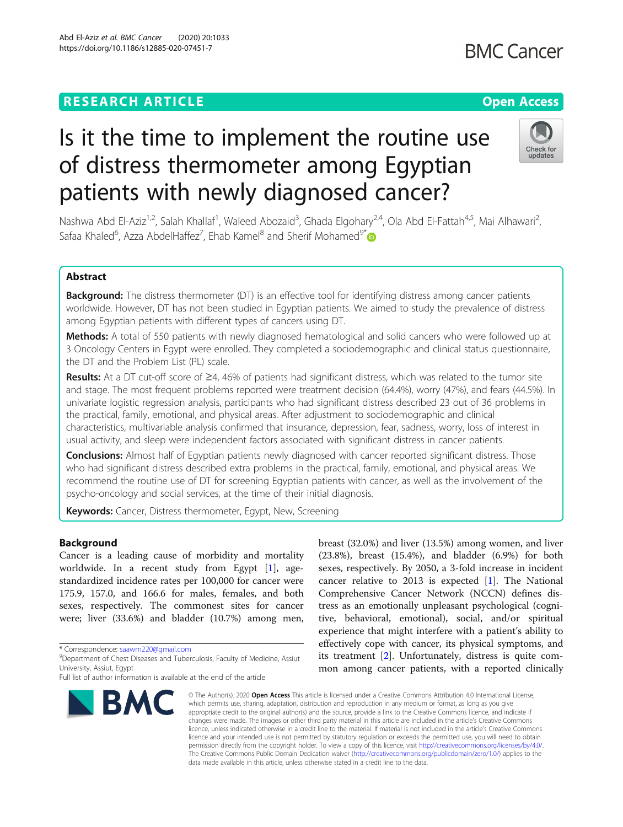# **RESEARCH ARTICLE Example 2014 12:30 The Contract of Contract ACCESS**

# Is it the time to implement the routine use of distress thermometer among Egyptian patients with newly diagnosed cancer?

Nashwa Abd El-Aziz<sup>1,2</sup>, Salah Khallaf<sup>1</sup>, Waleed Abozaid<sup>3</sup>, Ghada Elgohary<sup>2,4</sup>, Ola Abd El-Fattah<sup>4,5</sup>, Mai Alhawari<sup>2</sup> , Safaa Khaled<sup>6</sup>, Azza AbdelHaffez<sup>7</sup>, Ehab Kamel<sup>8</sup> and Sherif Mohamed<sup>9\*</sup>

# Abstract

**Background:** The distress thermometer (DT) is an effective tool for identifying distress among cancer patients worldwide. However, DT has not been studied in Egyptian patients. We aimed to study the prevalence of distress among Egyptian patients with different types of cancers using DT.

Methods: A total of 550 patients with newly diagnosed hematological and solid cancers who were followed up at 3 Oncology Centers in Egypt were enrolled. They completed a sociodemographic and clinical status questionnaire, the DT and the Problem List (PL) scale.

Results: At a DT cut-off score of  $\geq$ 4, 46% of patients had significant distress, which was related to the tumor site and stage. The most frequent problems reported were treatment decision (64.4%), worry (47%), and fears (44.5%). In univariate logistic regression analysis, participants who had significant distress described 23 out of 36 problems in the practical, family, emotional, and physical areas. After adjustment to sociodemographic and clinical characteristics, multivariable analysis confirmed that insurance, depression, fear, sadness, worry, loss of interest in usual activity, and sleep were independent factors associated with significant distress in cancer patients.

**Conclusions:** Almost half of Egyptian patients newly diagnosed with cancer reported significant distress. Those who had significant distress described extra problems in the practical, family, emotional, and physical areas. We recommend the routine use of DT for screening Egyptian patients with cancer, as well as the involvement of the psycho-oncology and social services, at the time of their initial diagnosis.

Keywords: Cancer, Distress thermometer, Egypt, New, Screening

# Background

Cancer is a leading cause of morbidity and mortality worldwide. In a recent study from Egypt [\[1](#page-6-0)], agestandardized incidence rates per 100,000 for cancer were 175.9, 157.0, and 166.6 for males, females, and both sexes, respectively. The commonest sites for cancer were; liver (33.6%) and bladder (10.7%) among men,

\* Correspondence: [saawm220@gmail.com](mailto:saawm220@gmail.com) <sup>9</sup>

breast (32.0%) and liver (13.5%) among women, and liver (23.8%), breast (15.4%), and bladder (6.9%) for both sexes, respectively. By 2050, a 3-fold increase in incident cancer relative to 2013 is expected  $[1]$  $[1]$ . The National Comprehensive Cancer Network (NCCN) defines distress as an emotionally unpleasant psychological (cognitive, behavioral, emotional), social, and/or spiritual experience that might interfere with a patient's ability to effectively cope with cancer, its physical symptoms, and its treatment [[2\]](#page-6-0). Unfortunately, distress is quite common among cancer patients, with a reported clinically

© The Author(s). 2020 Open Access This article is licensed under a Creative Commons Attribution 4.0 International License, which permits use, sharing, adaptation, distribution and reproduction in any medium or format, as long as you give appropriate credit to the original author(s) and the source, provide a link to the Creative Commons licence, and indicate if changes were made. The images or other third party material in this article are included in the article's Creative Commons licence, unless indicated otherwise in a credit line to the material. If material is not included in the article's Creative Commons licence and your intended use is not permitted by statutory regulation or exceeds the permitted use, you will need to obtain permission directly from the copyright holder. To view a copy of this licence, visit [http://creativecommons.org/licenses/by/4.0/.](http://creativecommons.org/licenses/by/4.0/) The Creative Commons Public Domain Dedication waiver [\(http://creativecommons.org/publicdomain/zero/1.0/](http://creativecommons.org/publicdomain/zero/1.0/)) applies to the data made available in this article, unless otherwise stated in a credit line to the data.



**BMC** 





<sup>&</sup>lt;sup>9</sup>Department of Chest Diseases and Tuberculosis, Faculty of Medicine, Assiut University, Assiut, Egypt

Full list of author information is available at the end of the article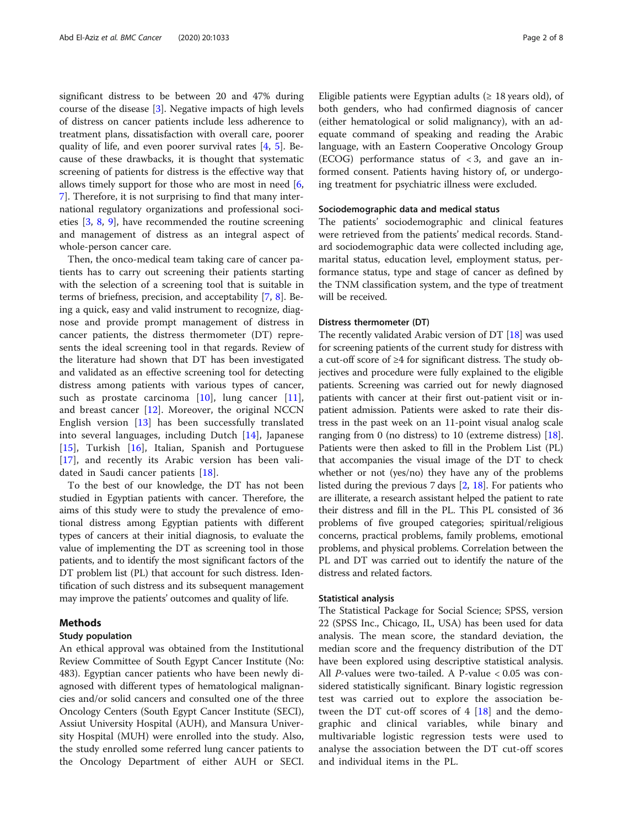significant distress to be between 20 and 47% during course of the disease [[3\]](#page-6-0). Negative impacts of high levels of distress on cancer patients include less adherence to treatment plans, dissatisfaction with overall care, poorer quality of life, and even poorer survival rates [[4,](#page-6-0) [5\]](#page-6-0). Because of these drawbacks, it is thought that systematic screening of patients for distress is the effective way that allows timely support for those who are most in need [\[6](#page-6-0), [7\]](#page-6-0). Therefore, it is not surprising to find that many international regulatory organizations and professional societies [[3,](#page-6-0) [8,](#page-6-0) [9](#page-6-0)], have recommended the routine screening and management of distress as an integral aspect of whole-person cancer care.

Then, the onco-medical team taking care of cancer patients has to carry out screening their patients starting with the selection of a screening tool that is suitable in terms of briefness, precision, and acceptability [\[7](#page-6-0), [8](#page-6-0)]. Being a quick, easy and valid instrument to recognize, diagnose and provide prompt management of distress in cancer patients, the distress thermometer (DT) represents the ideal screening tool in that regards. Review of the literature had shown that DT has been investigated and validated as an effective screening tool for detecting distress among patients with various types of cancer, such as prostate carcinoma [[10\]](#page-6-0), lung cancer [\[11](#page-6-0)], and breast cancer  $[12]$  $[12]$ . Moreover, the original NCCN English version [[13\]](#page-6-0) has been successfully translated into several languages, including Dutch [[14\]](#page-6-0), Japanese [[15\]](#page-6-0), Turkish [\[16](#page-6-0)], Italian, Spanish and Portuguese [[17\]](#page-6-0), and recently its Arabic version has been validated in Saudi cancer patients [[18\]](#page-6-0).

To the best of our knowledge, the DT has not been studied in Egyptian patients with cancer. Therefore, the aims of this study were to study the prevalence of emotional distress among Egyptian patients with different types of cancers at their initial diagnosis, to evaluate the value of implementing the DT as screening tool in those patients, and to identify the most significant factors of the DT problem list (PL) that account for such distress. Identification of such distress and its subsequent management may improve the patients' outcomes and quality of life.

#### Methods

#### Study population

An ethical approval was obtained from the Institutional Review Committee of South Egypt Cancer Institute (No: 483). Egyptian cancer patients who have been newly diagnosed with different types of hematological malignancies and/or solid cancers and consulted one of the three Oncology Centers (South Egypt Cancer Institute (SECI), Assiut University Hospital (AUH), and Mansura University Hospital (MUH) were enrolled into the study. Also, the study enrolled some referred lung cancer patients to the Oncology Department of either AUH or SECI.

Eligible patients were Egyptian adults ( $\geq 18$  years old), of both genders, who had confirmed diagnosis of cancer (either hematological or solid malignancy), with an adequate command of speaking and reading the Arabic language, with an Eastern Cooperative Oncology Group (ECOG) performance status of  $\langle 3, 3 \rangle$  and gave an informed consent. Patients having history of, or undergoing treatment for psychiatric illness were excluded.

# Sociodemographic data and medical status

The patients' sociodemographic and clinical features were retrieved from the patients' medical records. Standard sociodemographic data were collected including age, marital status, education level, employment status, performance status, type and stage of cancer as defined by the TNM classification system, and the type of treatment will be received.

#### Distress thermometer (DT)

The recently validated Arabic version of DT [\[18\]](#page-6-0) was used for screening patients of the current study for distress with a cut-off score of ≥4 for significant distress. The study objectives and procedure were fully explained to the eligible patients. Screening was carried out for newly diagnosed patients with cancer at their first out-patient visit or inpatient admission. Patients were asked to rate their distress in the past week on an 11-point visual analog scale ranging from 0 (no distress) to 10 (extreme distress) [[18](#page-6-0)]. Patients were then asked to fill in the Problem List (PL) that accompanies the visual image of the DT to check whether or not (yes/no) they have any of the problems listed during the previous 7 days [\[2,](#page-6-0) [18\]](#page-6-0). For patients who are illiterate, a research assistant helped the patient to rate their distress and fill in the PL. This PL consisted of 36 problems of five grouped categories; spiritual/religious concerns, practical problems, family problems, emotional problems, and physical problems. Correlation between the PL and DT was carried out to identify the nature of the distress and related factors.

#### Statistical analysis

The Statistical Package for Social Science; SPSS, version 22 (SPSS Inc., Chicago, IL, USA) has been used for data analysis. The mean score, the standard deviation, the median score and the frequency distribution of the DT have been explored using descriptive statistical analysis. All P-values were two-tailed. A P-value  $< 0.05$  was considered statistically significant. Binary logistic regression test was carried out to explore the association between the DT cut-off scores of  $4$  [[18\]](#page-6-0) and the demographic and clinical variables, while binary and multivariable logistic regression tests were used to analyse the association between the DT cut-off scores and individual items in the PL.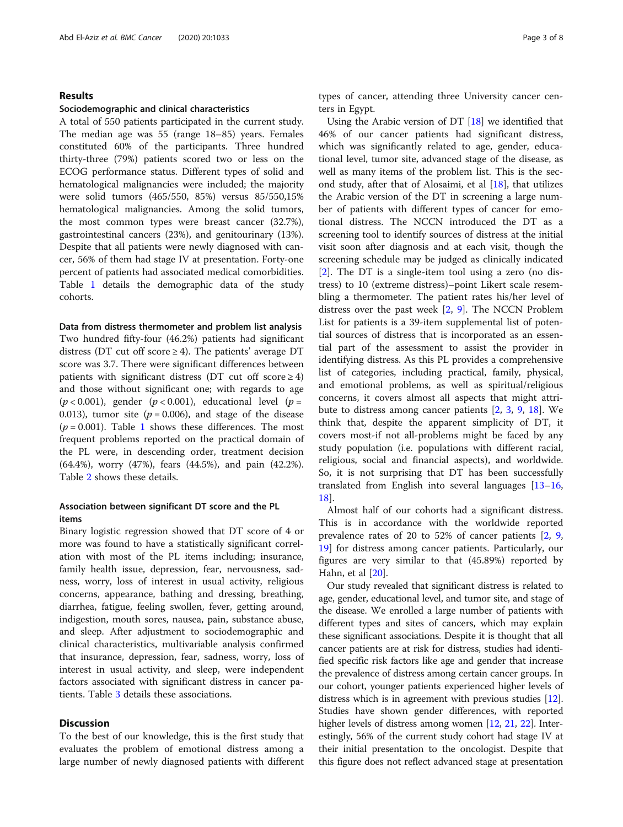### Results

#### Sociodemographic and clinical characteristics

A total of 550 patients participated in the current study. The median age was 55 (range 18–85) years. Females constituted 60% of the participants. Three hundred thirty-three (79%) patients scored two or less on the ECOG performance status. Different types of solid and hematological malignancies were included; the majority were solid tumors (465/550, 85%) versus 85/550,15% hematological malignancies. Among the solid tumors, the most common types were breast cancer (32.7%), gastrointestinal cancers (23%), and genitourinary (13%). Despite that all patients were newly diagnosed with cancer, 56% of them had stage IV at presentation. Forty-one percent of patients had associated medical comorbidities. Table [1](#page-3-0) details the demographic data of the study cohorts.

#### Data from distress thermometer and problem list analysis

Two hundred fifty-four (46.2%) patients had significant distress (DT cut off score  $\geq$  4). The patients' average DT score was 3.7. There were significant differences between patients with significant distress (DT cut off  $score \ge 4$ ) and those without significant one; with regards to age  $(p < 0.001)$ , gender  $(p < 0.001)$ , educational level  $(p = 0.001)$ 0.013), tumor site ( $p = 0.006$ ), and stage of the disease  $(p = 0.001)$  $(p = 0.001)$  $(p = 0.001)$ . Table 1 shows these differences. The most frequent problems reported on the practical domain of the PL were, in descending order, treatment decision (64.4%), worry (47%), fears (44.5%), and pain (42.2%). Table [2](#page-3-0) shows these details.

# Association between significant DT score and the PL items

Binary logistic regression showed that DT score of 4 or more was found to have a statistically significant correlation with most of the PL items including; insurance, family health issue, depression, fear, nervousness, sadness, worry, loss of interest in usual activity, religious concerns, appearance, bathing and dressing, breathing, diarrhea, fatigue, feeling swollen, fever, getting around, indigestion, mouth sores, nausea, pain, substance abuse, and sleep. After adjustment to sociodemographic and clinical characteristics, multivariable analysis confirmed that insurance, depression, fear, sadness, worry, loss of interest in usual activity, and sleep, were independent factors associated with significant distress in cancer patients. Table [3](#page-4-0) details these associations.

## **Discussion**

To the best of our knowledge, this is the first study that evaluates the problem of emotional distress among a large number of newly diagnosed patients with different types of cancer, attending three University cancer centers in Egypt.

Using the Arabic version of DT [\[18](#page-6-0)] we identified that 46% of our cancer patients had significant distress, which was significantly related to age, gender, educational level, tumor site, advanced stage of the disease, as well as many items of the problem list. This is the second study, after that of Alosaimi, et al [[18](#page-6-0)], that utilizes the Arabic version of the DT in screening a large number of patients with different types of cancer for emotional distress. The NCCN introduced the DT as a screening tool to identify sources of distress at the initial visit soon after diagnosis and at each visit, though the screening schedule may be judged as clinically indicated [[2\]](#page-6-0). The DT is a single-item tool using a zero (no distress) to 10 (extreme distress)–point Likert scale resembling a thermometer. The patient rates his/her level of distress over the past week [\[2](#page-6-0), [9](#page-6-0)]. The NCCN Problem List for patients is a 39-item supplemental list of potential sources of distress that is incorporated as an essential part of the assessment to assist the provider in identifying distress. As this PL provides a comprehensive list of categories, including practical, family, physical, and emotional problems, as well as spiritual/religious concerns, it covers almost all aspects that might attribute to distress among cancer patients [\[2](#page-6-0), [3,](#page-6-0) [9,](#page-6-0) [18](#page-6-0)]. We think that, despite the apparent simplicity of DT, it covers most-if not all-problems might be faced by any study population (i.e. populations with different racial, religious, social and financial aspects), and worldwide. So, it is not surprising that DT has been successfully translated from English into several languages [[13](#page-6-0)–[16](#page-6-0), [18\]](#page-6-0).

Almost half of our cohorts had a significant distress. This is in accordance with the worldwide reported prevalence rates of 20 to 52% of cancer patients [\[2,](#page-6-0) [9](#page-6-0), [19\]](#page-6-0) for distress among cancer patients. Particularly, our figures are very similar to that (45.89%) reported by Hahn, et al [\[20\]](#page-6-0).

Our study revealed that significant distress is related to age, gender, educational level, and tumor site, and stage of the disease. We enrolled a large number of patients with different types and sites of cancers, which may explain these significant associations. Despite it is thought that all cancer patients are at risk for distress, studies had identified specific risk factors like age and gender that increase the prevalence of distress among certain cancer groups. In our cohort, younger patients experienced higher levels of distress which is in agreement with previous studies [[12](#page-6-0)]. Studies have shown gender differences, with reported higher levels of distress among women [\[12,](#page-6-0) [21](#page-7-0), [22](#page-7-0)]. Interestingly, 56% of the current study cohort had stage IV at their initial presentation to the oncologist. Despite that this figure does not reflect advanced stage at presentation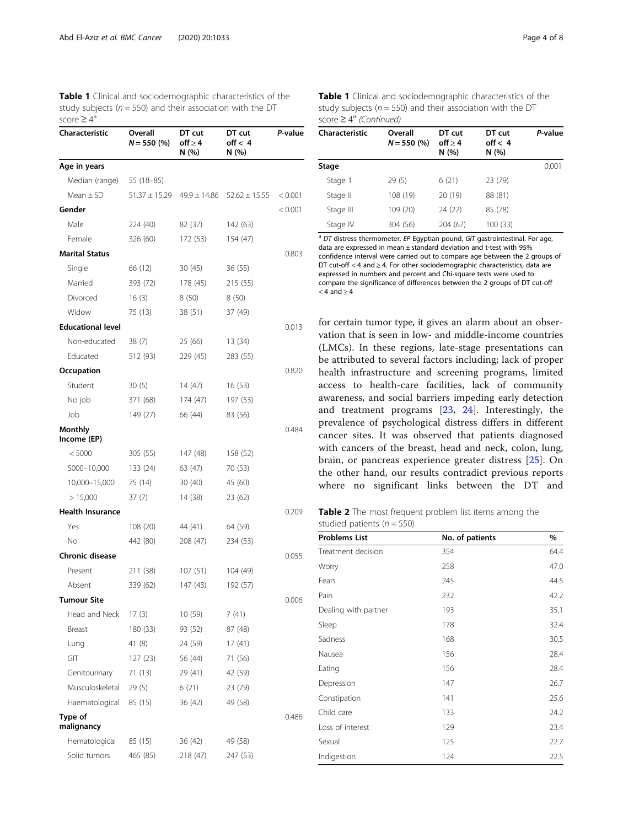<span id="page-3-0"></span>Table 1 Clinical and sociodemographic characteristics of the study subjects ( $n = 550$ ) and their association with the DT score  $\geq 4^{\alpha}$ 

| Characteristic           | Overall<br>$N = 550$ (%) | DT cut<br>off $\geq$ 4<br>N (%) | DT cut<br>off < 4<br>N (%)                           | P-value |
|--------------------------|--------------------------|---------------------------------|------------------------------------------------------|---------|
| Age in years             |                          |                                 |                                                      |         |
| Median (range)           | 55 (18–85)               |                                 |                                                      |         |
| Mean $\pm$ SD            |                          |                                 | $51.37 \pm 15.29$ $49.9 \pm 14.86$ $52.62 \pm 15.55$ | < 0.001 |
| Gender                   |                          |                                 |                                                      | < 0.001 |
| Male                     | 224 (40)                 | 82 (37)                         | 142 (63)                                             |         |
| Female                   | 326 (60)                 | 172 (53)                        | 154 (47)                                             |         |
| <b>Marital Status</b>    |                          |                                 |                                                      | 0.803   |
| Single                   | 66 (12)                  | 30(45)                          | 36 (55)                                              |         |
| Married                  | 393 (72)                 | 178 (45)                        | 215 (55)                                             |         |
| Divorced                 | 16(3)                    | 8 (50)                          | 8(50)                                                |         |
| Widow                    | 75 (13)                  | 38 (51)                         | 37 (49)                                              |         |
| <b>Educational level</b> |                          |                                 |                                                      | 0.013   |
| Non-educated             | 38(7)                    | 25 (66)                         | 13 (34)                                              |         |
| Educated                 | 512 (93)                 | 229 (45)                        | 283 (55)                                             |         |
| Occupation               |                          |                                 |                                                      | 0.820   |
| Student                  | 30(5)                    | 14 (47)                         | 16(53)                                               |         |
| No job                   | 371 (68)                 | 174 (47)                        | 197 (53)                                             |         |
| Job                      | 149 (27)                 | 66 (44)                         | 83 (56)                                              |         |
| Monthly<br>Income (EP)   |                          |                                 |                                                      | 0.484   |
| < 5000                   | 305 (55)                 | 147 (48)                        | 158 (52)                                             |         |
| 5000-10,000              | 133 (24)                 | 63 (47)                         | 70 (53)                                              |         |
| 10,000-15,000            | 75 (14)                  | 30(40)                          | 45 (60)                                              |         |
| > 15,000                 | 37 (7)                   | 14 (38)                         | 23 (62)                                              |         |
| <b>Health Insurance</b>  |                          |                                 |                                                      | 0.209   |
| Yes                      | 108 (20)                 | 44 (41)                         | 64 (59)                                              |         |
| No                       | 442 (80)                 | 208 (47)                        | 234 (53)                                             |         |
| Chronic disease          |                          |                                 |                                                      | 0.055   |
| Present                  | 211 (38)                 | 107(51)                         | 104 (49)                                             |         |
| Absent                   | 339 (62)                 | 147 (43)                        | 192 (57)                                             |         |
| <b>Tumour Site</b>       |                          |                                 |                                                      | 0.006   |
| Head and Neck            | 17(3)                    | 10(59)                          | 7 (41)                                               |         |
| Breast                   | 180 (33)                 | 93 (52)                         | 87 (48)                                              |         |
| Lung                     | 41 (8)                   | 24 (59)                         | 17(41)                                               |         |
| GIT                      | 127 (23)                 | 56 (44)                         | 71 (56)                                              |         |
| Genitourinary            | 71 (13)                  | 29 (41)                         | 42 (59)                                              |         |
| Musculoskeletal          | 29 (5)                   | 6(21)                           | 23 (79)                                              |         |
| Haematological           | 85 (15)                  | 36 (42)                         | 49 (58)                                              |         |
| Type of<br>malignancy    |                          |                                 |                                                      | 0.486   |
| Hematological            | 85 (15)                  | 36 (42)                         | 49 (58)                                              |         |
| Solid tumors             | 465 (85)                 | 218 (47)                        | 247 (53)                                             |         |

| Table 1 Clinical and sociodemographic characteristics of the   |  |
|----------------------------------------------------------------|--|
| study subjects ( $n = 550$ ) and their association with the DT |  |
| score $\geq 4^a$ (Continued)                                   |  |

| Characteristic | Overall<br>$N = 550$ (%) | DT cut<br>off > 4<br>N(%) | DT cut<br>off < 4<br>N(%) | P-value |
|----------------|--------------------------|---------------------------|---------------------------|---------|
| Stage          |                          |                           |                           | 0.001   |
| Stage 1        | 29(5)                    | 6(21)                     | 23 (79)                   |         |
| Stage II       | 108 (19)                 | 20 (19)                   | 88 (81)                   |         |
| Stage III      | 109 (20)                 | 24 (22)                   | 85 (78)                   |         |
| Stage IV       | 304 (56)                 | 204 (67)                  | 100 (33)                  |         |

 $a$  DT distress thermometer, EP Egyptian pound, GIT gastrointestinal. For age, data are expressed in mean ± standard deviation and t-test with 95% confidence interval were carried out to compare age between the 2 groups of DT cut-off  $<$  4 and  $\geq$  4. For other sociodemographic characteristics, data are expressed in numbers and percent and Chi-square tests were used to compare the significance of differences between the 2 groups of DT cut-off  $<$  4 and  $\geq$  4

for certain tumor type, it gives an alarm about an observation that is seen in low- and middle-income countries (LMCs). In these regions, late-stage presentations can be attributed to several factors including; lack of proper health infrastructure and screening programs, limited access to health-care facilities, lack of community awareness, and social barriers impeding early detection and treatment programs [\[23](#page-7-0), [24](#page-7-0)]. Interestingly, the prevalence of psychological distress differs in different cancer sites. It was observed that patients diagnosed with cancers of the breast, head and neck, colon, lung, brain, or pancreas experience greater distress [[25\]](#page-7-0). On the other hand, our results contradict previous reports where no significant links between the DT and

Table 2 The most frequent problem list items among the studied patients ( $n = 550$ )

| <b>Problems List</b> | No. of patients | %    |  |
|----------------------|-----------------|------|--|
| Treatment decision   | 354             | 64.4 |  |
| Worry                | 258             | 47.0 |  |
| Fears                | 245             | 44.5 |  |
| Pain                 | 232             | 42.2 |  |
| Dealing with partner | 193             | 35.1 |  |
| Sleep                | 178             | 32.4 |  |
| Sadness              | 168             | 30.5 |  |
| Nausea               | 156             | 28.4 |  |
| Eating               | 156             | 28.4 |  |
| Depression           | 147             | 26.7 |  |
| Constipation         | 141             | 25.6 |  |
| Child care           | 133             | 24.2 |  |
| Loss of interest     | 129             | 23.4 |  |
| Sexual               | 125             | 22.7 |  |
| Indigestion          | 124             | 22.5 |  |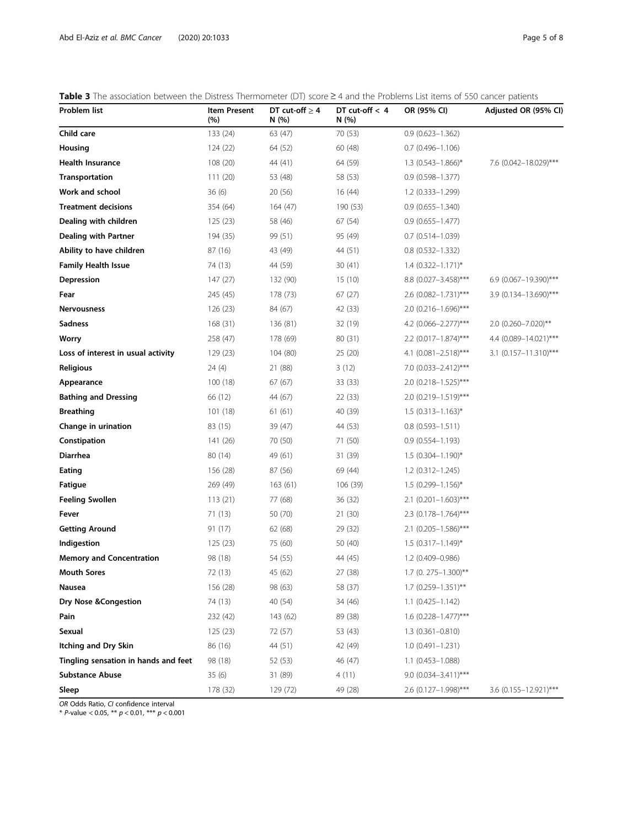<span id="page-4-0"></span>Table 3 The association between the Distress Thermometer (DT) score  $\geq$  4 and the Problems List items of 550 cancer patients

| Problem list                         | <b>Item Present</b><br>(%) | DT cut-off $\geq 4$<br>N(%) | DT cut-off $< 4$<br>N(%) | OR (95% CI)               | Adjusted OR (95% CI)    |
|--------------------------------------|----------------------------|-----------------------------|--------------------------|---------------------------|-------------------------|
| Child care                           | 133 (24)                   | 63 (47)                     | 70 (53)                  | $0.9(0.623 - 1.362)$      |                         |
| Housing                              | 124(22)                    | 64 (52)                     | 60 (48)                  | $0.7(0.496 - 1.106)$      |                         |
| <b>Health Insurance</b>              | 108 (20)                   | 44 (41)                     | 64 (59)                  | $1.3(0.543 - 1.866)^*$    | 7.6 (0.042-18.029)***   |
| Transportation                       | 111(20)                    | 53 (48)                     | 58 (53)                  | $0.9(0.598 - 1.377)$      |                         |
| Work and school                      | 36(6)                      | 20(56)                      | 16(44)                   | $1.2(0.333 - 1.299)$      |                         |
| <b>Treatment decisions</b>           | 354 (64)                   | 164(47)                     | 190 (53)                 | $0.9(0.655 - 1.340)$      |                         |
| Dealing with children                | 125(23)                    | 58 (46)                     | 67 (54)                  | $0.9(0.655 - 1.477)$      |                         |
| Dealing with Partner                 | 194 (35)                   | 99 (51)                     | 95 (49)                  | $0.7(0.514 - 1.039)$      |                         |
| Ability to have children             | 87 (16)                    | 43 (49)                     | 44 (51)                  | $0.8(0.532 - 1.332)$      |                         |
| <b>Family Health Issue</b>           | 74 (13)                    | 44 (59)                     | 30(41)                   | $1.4(0.322 - 1.171)^{*}$  |                         |
| Depression                           | 147(27)                    | 132 (90)                    | 15(10)                   | 8.8 (0.027-3.458)***      | 6.9 (0.067-19.390)***   |
| Fear                                 | 245 (45)                   | 178 (73)                    | 67 (27)                  | 2.6 (0.082-1.731)***      | 3.9 (0.134-13.690)***   |
| Nervousness                          | 126(23)                    | 84 (67)                     | 42 (33)                  | 2.0 (0.216-1.696)***      |                         |
| <b>Sadness</b>                       | 168(31)                    | 136 (81)                    | 32 (19)                  | 4.2 (0.066-2.277)***      | 2.0 (0.260-7.020)**     |
| Worry                                | 258 (47)                   | 178 (69)                    | 80 (31)                  | $2.2$ (0.017-1.874)***    | 4.4 (0.089-14.021)***   |
| Loss of interest in usual activity   | 129(23)                    | 104 (80)                    | 25 (20)                  | 4.1 $(0.081 - 2.518)$ *** | $3.1$ (0.157-11.310)*** |
| <b>Religious</b>                     | 24(4)                      | 21 (88)                     | 3(12)                    | 7.0 (0.033-2.412)***      |                         |
| Appearance                           | 100(18)                    | 67(67)                      | 33 (33)                  | 2.0 (0.218-1.525)***      |                         |
| <b>Bathing and Dressing</b>          | 66 (12)                    | 44 (67)                     | 22 (33)                  | 2.0 (0.219 - 1.519)***    |                         |
| <b>Breathing</b>                     | 101(18)                    | 61(61)                      | 40 (39)                  | $1.5(0.313 - 1.163)^{*}$  |                         |
| Change in urination                  | 83 (15)                    | 39 (47)                     | 44 (53)                  | $0.8(0.593 - 1.511)$      |                         |
| Constipation                         | 141 (26)                   | 70 (50)                     | 71 (50)                  | $0.9(0.554 - 1.193)$      |                         |
| Diarrhea                             | 80 (14)                    | 49 (61)                     | 31 (39)                  | $1.5(0.304 - 1.190)^{*}$  |                         |
| Eating                               | 156 (28)                   | 87 (56)                     | 69 (44)                  | $1.2(0.312 - 1.245)$      |                         |
| Fatigue                              | 269 (49)                   | 163(61)                     | 106 (39)                 | $1.5(0.299 - 1.156)^*$    |                         |
| <b>Feeling Swollen</b>               | 113(21)                    | 77 (68)                     | 36(32)                   | 2.1 $(0.201 - 1.603)$ *** |                         |
| Fever                                | 71(13)                     | 50 (70)                     | 21 (30)                  | $2.3$ (0.178-1.764)***    |                         |
| <b>Getting Around</b>                | 91 (17)                    | 62 (68)                     | 29 (32)                  | $2.1$ (0.205-1.586)***    |                         |
| Indigestion                          | 125(23)                    | 75 (60)                     | 50 (40)                  | $1.5$ (0.317-1.149)*      |                         |
| <b>Memory and Concentration</b>      | 98 (18)                    | 54 (55)                     | 44 (45)                  | 1.2 (0.409-0.986)         |                         |
| <b>Mouth Sores</b>                   | 72 (13)                    | 45 (62)                     | 27 (38)                  | 1.7 (0. 275-1.300)**      |                         |
| Nausea                               | 156 (28)                   | 98 (63)                     | 58 (37)                  | $1.7$ (0.259-1.351)**     |                         |
| Dry Nose & Congestion                | 74 (13)                    | 40 (54)                     | 34 (46)                  | $1.1(0.425 - 1.142)$      |                         |
| Pain                                 | 232 (42)                   | 143 (62)                    | 89 (38)                  | $1.6$ (0.228-1.477)***    |                         |
| Sexual                               | 125(23)                    | 72 (57)                     | 53 (43)                  | $1.3(0.361 - 0.810)$      |                         |
| Itching and Dry Skin                 | 86 (16)                    | 44 (51)                     | 42 (49)                  | $1.0(0.491 - 1.231)$      |                         |
| Tingling sensation in hands and feet | 98 (18)                    | 52 (53)                     | 46 (47)                  | $1.1(0.453 - 1.088)$      |                         |
| <b>Substance Abuse</b>               | 35(6)                      | 31 (89)                     | 4(11)                    | 9.0 (0.034-3.411)***      |                         |
| Sleep                                | 178 (32)                   | 129 (72)                    | 49 (28)                  | 2.6 (0.127-1.998)***      | 3.6 (0.155-12.921)***   |

OR Odds Ratio, CI confidence interval

\* P-value < 0.05, \*\*  $p$  < 0.01, \*\*\*  $p$  < 0.001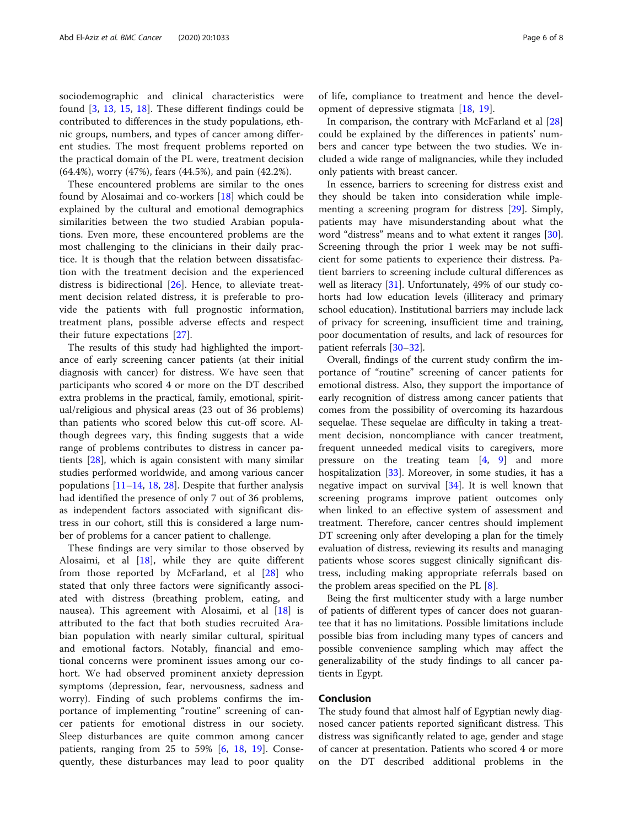sociodemographic and clinical characteristics were found [[3,](#page-6-0) [13,](#page-6-0) [15,](#page-6-0) [18\]](#page-6-0). These different findings could be contributed to differences in the study populations, ethnic groups, numbers, and types of cancer among different studies. The most frequent problems reported on the practical domain of the PL were, treatment decision (64.4%), worry (47%), fears (44.5%), and pain (42.2%).

These encountered problems are similar to the ones found by Alosaimai and co-workers [[18\]](#page-6-0) which could be explained by the cultural and emotional demographics similarities between the two studied Arabian populations. Even more, these encountered problems are the most challenging to the clinicians in their daily practice. It is though that the relation between dissatisfaction with the treatment decision and the experienced distress is bidirectional [\[26](#page-7-0)]. Hence, to alleviate treatment decision related distress, it is preferable to provide the patients with full prognostic information, treatment plans, possible adverse effects and respect their future expectations [\[27](#page-7-0)].

The results of this study had highlighted the importance of early screening cancer patients (at their initial diagnosis with cancer) for distress. We have seen that participants who scored 4 or more on the DT described extra problems in the practical, family, emotional, spiritual/religious and physical areas (23 out of 36 problems) than patients who scored below this cut-off score. Although degrees vary, this finding suggests that a wide range of problems contributes to distress in cancer patients [\[28](#page-7-0)], which is again consistent with many similar studies performed worldwide, and among various cancer populations  $[11–14, 18, 28]$  $[11–14, 18, 28]$  $[11–14, 18, 28]$  $[11–14, 18, 28]$  $[11–14, 18, 28]$  $[11–14, 18, 28]$  $[11–14, 18, 28]$  $[11–14, 18, 28]$  $[11–14, 18, 28]$ . Despite that further analysis had identified the presence of only 7 out of 36 problems, as independent factors associated with significant distress in our cohort, still this is considered a large number of problems for a cancer patient to challenge.

These findings are very similar to those observed by Alosaimi, et al [[18](#page-6-0)], while they are quite different from those reported by McFarland, et al [[28\]](#page-7-0) who stated that only three factors were significantly associated with distress (breathing problem, eating, and nausea). This agreement with Alosaimi, et al [\[18](#page-6-0)] is attributed to the fact that both studies recruited Arabian population with nearly similar cultural, spiritual and emotional factors. Notably, financial and emotional concerns were prominent issues among our cohort. We had observed prominent anxiety depression symptoms (depression, fear, nervousness, sadness and worry). Finding of such problems confirms the importance of implementing "routine" screening of cancer patients for emotional distress in our society. Sleep disturbances are quite common among cancer patients, ranging from 25 to 59% [[6,](#page-6-0) [18,](#page-6-0) [19\]](#page-6-0). Consequently, these disturbances may lead to poor quality

of life, compliance to treatment and hence the development of depressive stigmata [[18,](#page-6-0) [19\]](#page-6-0).

In comparison, the contrary with McFarland et al [[28](#page-7-0)] could be explained by the differences in patients' numbers and cancer type between the two studies. We included a wide range of malignancies, while they included only patients with breast cancer.

In essence, barriers to screening for distress exist and they should be taken into consideration while implementing a screening program for distress [[29\]](#page-7-0). Simply, patients may have misunderstanding about what the word "distress" means and to what extent it ranges [\[30](#page-7-0)]. Screening through the prior 1 week may be not sufficient for some patients to experience their distress. Patient barriers to screening include cultural differences as well as literacy [[31](#page-7-0)]. Unfortunately, 49% of our study cohorts had low education levels (illiteracy and primary school education). Institutional barriers may include lack of privacy for screening, insufficient time and training, poor documentation of results, and lack of resources for patient referrals [[30](#page-7-0)–[32](#page-7-0)].

Overall, findings of the current study confirm the importance of "routine" screening of cancer patients for emotional distress. Also, they support the importance of early recognition of distress among cancer patients that comes from the possibility of overcoming its hazardous sequelae. These sequelae are difficulty in taking a treatment decision, noncompliance with cancer treatment, frequent unneeded medical visits to caregivers, more pressure on the treating team  $[4, 9]$  $[4, 9]$  $[4, 9]$  $[4, 9]$  and more hospitalization [\[33](#page-7-0)]. Moreover, in some studies, it has a negative impact on survival [[34](#page-7-0)]. It is well known that screening programs improve patient outcomes only when linked to an effective system of assessment and treatment. Therefore, cancer centres should implement DT screening only after developing a plan for the timely evaluation of distress, reviewing its results and managing patients whose scores suggest clinically significant distress, including making appropriate referrals based on the problem areas specified on the PL [\[8](#page-6-0)].

Being the first multicenter study with a large number of patients of different types of cancer does not guarantee that it has no limitations. Possible limitations include possible bias from including many types of cancers and possible convenience sampling which may affect the generalizability of the study findings to all cancer patients in Egypt.

#### Conclusion

The study found that almost half of Egyptian newly diagnosed cancer patients reported significant distress. This distress was significantly related to age, gender and stage of cancer at presentation. Patients who scored 4 or more on the DT described additional problems in the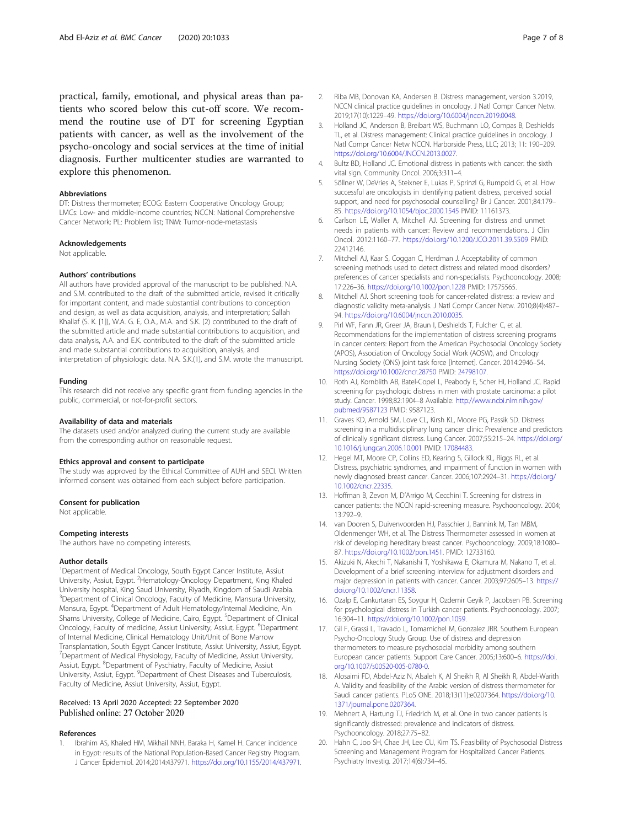<span id="page-6-0"></span>practical, family, emotional, and physical areas than patients who scored below this cut-off score. We recommend the routine use of DT for screening Egyptian patients with cancer, as well as the involvement of the psycho-oncology and social services at the time of initial diagnosis. Further multicenter studies are warranted to explore this phenomenon.

#### Abbreviations

DT: Distress thermometer; ECOG: Eastern Cooperative Oncology Group; LMCs: Low- and middle-income countries; NCCN: National Comprehensive Cancer Network; PL: Problem list; TNM: Tumor-node-metastasis

#### Acknowledgements

Not applicable.

#### Authors' contributions

All authors have provided approval of the manuscript to be published. N.A. and S.M. contributed to the draft of the submitted article, revised it critically for important content, and made substantial contributions to conception and design, as well as data acquisition, analysis, and interpretation; Sallah Khallaf (S. K. [1]), W.A. G. E, O.A., M.A. and S.K. (2) contributed to the draft of the submitted article and made substantial contributions to acquisition, and data analysis, A.A. and E.K. contributed to the draft of the submitted article and made substantial contributions to acquisition, analysis, and interpretation of physiologic data. N.A. S.K.(1), and S.M. wrote the manuscript.

#### Funding

This research did not receive any specific grant from funding agencies in the public, commercial, or not-for-profit sectors.

#### Availability of data and materials

The datasets used and/or analyzed during the current study are available from the corresponding author on reasonable request.

#### Ethics approval and consent to participate

The study was approved by the Ethical Committee of AUH and SECI. Written informed consent was obtained from each subject before participation.

#### Consent for publication

Not applicable.

#### Competing interests

The authors have no competing interests.

#### Author details

<sup>1</sup>Department of Medical Oncology, South Egypt Cancer Institute, Assiut University, Assiut, Egypt. <sup>2</sup>Hematology-Oncology Department, King Khaled University hospital, King Saud University, Riyadh, Kingdom of Saudi Arabia. <sup>3</sup>Department of Clinical Oncology, Faculty of Medicine, Mansura University, Mansura, Egypt. <sup>4</sup> Department of Adult Hematology/Internal Medicine, Ain Shams University, College of Medicine, Cairo, Egypt. <sup>5</sup>Department of Clinical Oncology, Faculty of medicine, Assiut University, Assiut, Egypt. <sup>6</sup>Department of Internal Medicine, Clinical Hematology Unit/Unit of Bone Marrow Transplantation, South Egypt Cancer Institute, Assiut University, Assiut, Egypt. <sup>7</sup> Department of Medical Physiology, Faculty of Medicine, Assiut University, Assiut, Egypt. <sup>8</sup>Department of Pyschiatry, Faculty of Medicine, Assiut University, Assiut, Egypt. <sup>9</sup>Department of Chest Diseases and Tuberculosis, Faculty of Medicine, Assiut University, Assiut, Egypt.

#### Received: 13 April 2020 Accepted: 22 September 2020 Published online: 27 October 2020

#### References

Ibrahim AS, Khaled HM, Mikhail NNH, Baraka H, Kamel H. Cancer incidence in Egypt: results of the National Population-Based Cancer Registry Program. J Cancer Epidemiol. 2014;2014:437971. [https://doi.org/10.1155/2014/437971.](https://doi.org/10.1155/2014/437971)

- 2. Riba MB, Donovan KA, Andersen B. Distress management, version 3.2019, NCCN clinical practice guidelines in oncology. J Natl Compr Cancer Netw. 2019;17(10):1229–49. [https://doi.org/10.6004/jnccn.2019.0048.](https://doi.org/10.6004/jnccn.2019.0048)
- 3. Holland JC, Anderson B, Breibart WS, Buchmann LO, Compas B, Deshields TL, et al. Distress management: Clinical practice guidelines in oncology. J Natl Compr Cancer Netw NCCN. Harborside Press, LLC; 2013; 11: 190–209. <https://doi.org/10.6004/JNCCN.2013.0027>.
- 4. Bultz BD, Holland JC. Emotional distress in patients with cancer: the sixth vital sign. Community Oncol. 2006;3:311–4.
- 5. Söllner W, DeVries A, Steixner E, Lukas P, Sprinzl G, Rumpold G, et al. How successful are oncologists in identifying patient distress, perceived social support, and need for psychosocial counselling? Br J Cancer. 2001;84:179– 85. <https://doi.org/10.1054/bjoc.2000.1545> PMID: 11161373.
- 6. Carlson LE, Waller A, Mitchell AJ. Screening for distress and unmet needs in patients with cancer: Review and recommendations. J Clin Oncol. 2012:1160–77. <https://doi.org/10.1200/JCO.2011.39.5509> PMID: 22412146.
- 7. Mitchell AJ, Kaar S, Coggan C, Herdman J. Acceptability of common screening methods used to detect distress and related mood disorders? preferences of cancer specialists and non-specialists. Psychooncology. 2008; 17:226–36. <https://doi.org/10.1002/pon.1228> PMID: 17575565.
- 8. Mitchell AJ. Short screening tools for cancer-related distress: a review and diagnostic validity meta-analysis. J Natl Compr Cancer Netw. 2010;8(4):487– 94. <https://doi.org/10.6004/jnccn.2010.0035>.
- Pirl WF, Fann JR, Greer JA, Braun I, Deshields T, Fulcher C, et al. Recommendations for the implementation of distress screening programs in cancer centers: Report from the American Psychosocial Oncology Society (APOS), Association of Oncology Social Work (AOSW), and Oncology Nursing Society (ONS) joint task force [Internet]. Cancer. 2014:2946–54. <https://doi.org/10.1002/cncr.28750> PMID: [24798107](https://www.ncbi.nlm.nih.gov/pubmed/24798107).
- 10. Roth AJ, Kornblith AB, Batel-Copel L, Peabody E, Scher HI, Holland JC. Rapid screening for psychologic distress in men with prostate carcinoma: a pilot study. Cancer. 1998;82:1904–8 Available: [http://www.ncbi.nlm.nih.gov/](http://www.ncbi.nlm.nih.gov/pubmed/9587123) [pubmed/9587123](http://www.ncbi.nlm.nih.gov/pubmed/9587123) PMID: 9587123.
- 11. Graves KD, Arnold SM, Love CL, Kirsh KL, Moore PG, Passik SD. Distress screening in a multidisciplinary lung cancer clinic: Prevalence and predictors of clinically significant distress. Lung Cancer. 2007;55:215–24. [https://doi.org/](https://doi.org/10.1016/j.lungcan.2006.10.001) [10.1016/j.lungcan.2006.10.001](https://doi.org/10.1016/j.lungcan.2006.10.001) PMID: [17084483.](https://www.ncbi.nlm.nih.gov/pubmed/17084483)
- 12. Hegel MT, Moore CP, Collins ED, Kearing S, Gillock KL, Riggs RL, et al. Distress, psychiatric syndromes, and impairment of function in women with newly diagnosed breast cancer. Cancer. 2006;107:2924–31. [https://doi.org/](https://doi.org/10.1002/cncr.22335) [10.1002/cncr.22335](https://doi.org/10.1002/cncr.22335).
- 13. Hoffman B, Zevon M, D'Arrigo M, Cecchini T. Screening for distress in cancer patients: the NCCN rapid-screening measure. Psychooncology. 2004; 13:792–9.
- 14. van Dooren S, Duivenvoorden HJ, Passchier J, Bannink M, Tan MBM, Oldenmenger WH, et al. The Distress Thermometer assessed in women at risk of developing hereditary breast cancer. Psychooncology. 2009;18:1080– 87. <https://doi.org/10.1002/pon.1451>. PMID: 12733160.
- 15. Akizuki N, Akechi T, Nakanishi T, Yoshikawa E, Okamura M, Nakano T, et al. Development of a brief screening interview for adjustment disorders and major depression in patients with cancer. Cancer. 2003;97:2605–13. [https://](https://doi.org/10.1002/cncr.11358) [doi.org/10.1002/cncr.11358.](https://doi.org/10.1002/cncr.11358)
- 16. Ozalp E, Cankurtaran ES, Soygur H, Ozdemir Geyik P, Jacobsen PB. Screening for psychological distress in Turkish cancer patients. Psychooncology. 2007; 16:304–11. <https://doi.org/10.1002/pon.1059>.
- 17. Gil F, Grassi L, Travado L, Tomamichel M, Gonzalez JRR. Southern European Psycho-Oncology Study Group. Use of distress and depression thermometers to measure psychosocial morbidity among southern European cancer patients. Support Care Cancer. 2005;13:600–6. [https://doi.](https://doi.org/10.1007/s00520-005-0780-0) [org/10.1007/s00520-005-0780-0](https://doi.org/10.1007/s00520-005-0780-0).
- 18. Alosaimi FD, Abdel-Aziz N, Alsaleh K, Al Sheikh R, Al Sheikh R, Abdel-Warith A. Validity and feasibility of the Arabic version of distress thermometer for Saudi cancer patients. PLoS ONE. 2018;13(11):e0207364. [https://doi.org/10.](https://doi.org/10.1371/journal.pone.0207364) [1371/journal.pone.0207364](https://doi.org/10.1371/journal.pone.0207364).
- 19. Mehnert A, Hartung TJ, Friedrich M, et al. One in two cancer patients is significantly distressed: prevalence and indicators of distress. Psychooncology. 2018;27:75–82.
- 20. Hahn C, Joo SH, Chae JH, Lee CU, Kim TS. Feasibility of Psychosocial Distress Screening and Management Program for Hospitalized Cancer Patients. Psychiatry Investig. 2017;14(6):734–45.